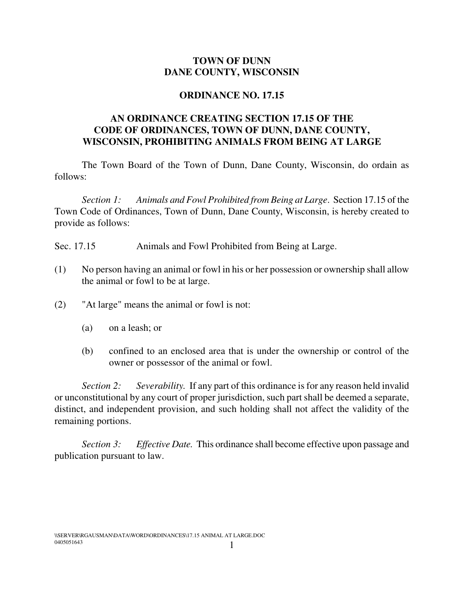## **TOWN OF DUNN DANE COUNTY, WISCONSIN**

## **ORDINANCE NO. 17.15**

## **AN ORDINANCE CREATING SECTION 17.15 OF THE CODE OF ORDINANCES, TOWN OF DUNN, DANE COUNTY, WISCONSIN, PROHIBITING ANIMALS FROM BEING AT LARGE**

The Town Board of the Town of Dunn, Dane County, Wisconsin, do ordain as follows:

*Section 1: Animals and Fowl Prohibited from Being at Large*. Section 17.15 of the Town Code of Ordinances, Town of Dunn, Dane County, Wisconsin, is hereby created to provide as follows:

- Sec. 17.15 Animals and Fowl Prohibited from Being at Large.
- (1) No person having an animal or fowl in his or her possession or ownership shall allow the animal or fowl to be at large.
- (2) "At large" means the animal or fowl is not:
	- (a) on a leash; or
	- (b) confined to an enclosed area that is under the ownership or control of the owner or possessor of the animal or fowl.

*Section 2: Severability.* If any part of this ordinance is for any reason held invalid or unconstitutional by any court of proper jurisdiction, such part shall be deemed a separate, distinct, and independent provision, and such holding shall not affect the validity of the remaining portions.

*Section 3: Effective Date.* This ordinance shall become effective upon passage and publication pursuant to law.